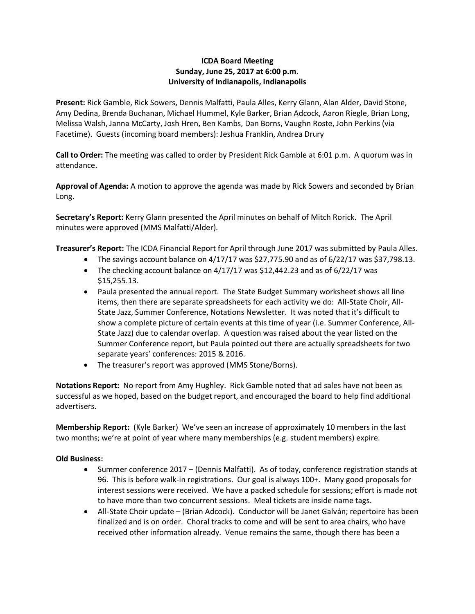## **ICDA Board Meeting Sunday, June 25, 2017 at 6:00 p.m. University of Indianapolis, Indianapolis**

**Present:** Rick Gamble, Rick Sowers, Dennis Malfatti, Paula Alles, Kerry Glann, Alan Alder, David Stone, Amy Dedina, Brenda Buchanan, Michael Hummel, Kyle Barker, Brian Adcock, Aaron Riegle, Brian Long, Melissa Walsh, Janna McCarty, Josh Hren, Ben Kambs, Dan Borns, Vaughn Roste, John Perkins (via Facetime). Guests (incoming board members): Jeshua Franklin, Andrea Drury

**Call to Order:** The meeting was called to order by President Rick Gamble at 6:01 p.m. A quorum was in attendance.

**Approval of Agenda:** A motion to approve the agenda was made by Rick Sowers and seconded by Brian Long.

**Secretary's Report:** Kerry Glann presented the April minutes on behalf of Mitch Rorick. The April minutes were approved (MMS Malfatti/Alder).

**Treasurer's Report:** The ICDA Financial Report for April through June 2017 was submitted by Paula Alles.

- The savings account balance on  $4/17/17$  was \$27,775.90 and as of  $6/22/17$  was \$37,798.13.
- The checking account balance on  $4/17/17$  was \$12,442.23 and as of  $6/22/17$  was \$15,255.13.
- Paula presented the annual report. The State Budget Summary worksheet shows all line items, then there are separate spreadsheets for each activity we do: All-State Choir, All-State Jazz, Summer Conference, Notations Newsletter. It was noted that it's difficult to show a complete picture of certain events at this time of year (i.e. Summer Conference, All-State Jazz) due to calendar overlap. A question was raised about the year listed on the Summer Conference report, but Paula pointed out there are actually spreadsheets for two separate years' conferences: 2015 & 2016.
- The treasurer's report was approved (MMS Stone/Borns).

**Notations Report:** No report from Amy Hughley. Rick Gamble noted that ad sales have not been as successful as we hoped, based on the budget report, and encouraged the board to help find additional advertisers.

**Membership Report:** (Kyle Barker) We've seen an increase of approximately 10 members in the last two months; we're at point of year where many memberships (e.g. student members) expire.

## **Old Business:**

- Summer conference 2017 (Dennis Malfatti). As of today, conference registration stands at 96. This is before walk-in registrations. Our goal is always 100+. Many good proposals for interest sessions were received. We have a packed schedule for sessions; effort is made not to have more than two concurrent sessions. Meal tickets are inside name tags.
- All-State Choir update (Brian Adcock). Conductor will be Janet Galván; repertoire has been finalized and is on order. Choral tracks to come and will be sent to area chairs, who have received other information already. Venue remains the same, though there has been a